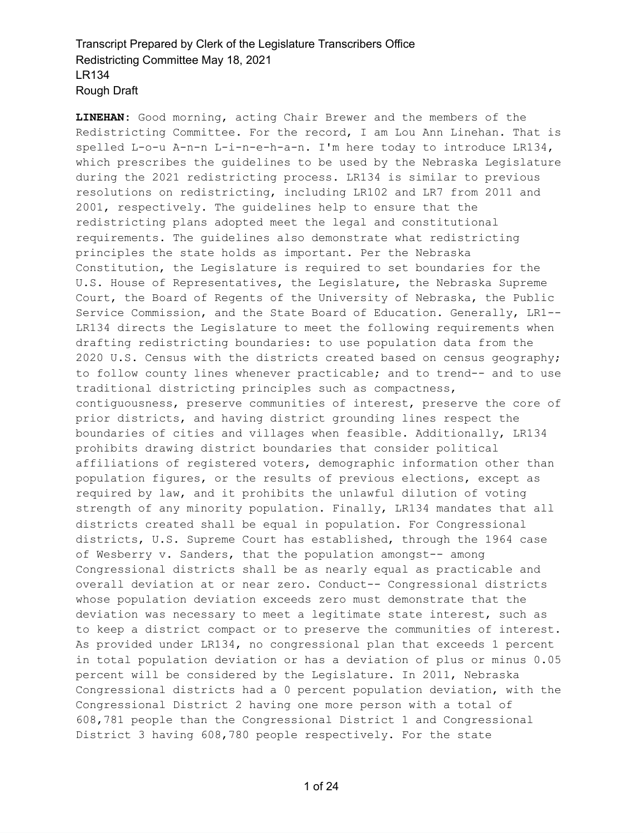**LINEHAN:** Good morning, acting Chair Brewer and the members of the Redistricting Committee. For the record, I am Lou Ann Linehan. That is spelled L-o-u A-n-n L-i-n-e-h-a-n. I'm here today to introduce LR134, which prescribes the guidelines to be used by the Nebraska Legislature during the 2021 redistricting process. LR134 is similar to previous resolutions on redistricting, including LR102 and LR7 from 2011 and 2001, respectively. The guidelines help to ensure that the redistricting plans adopted meet the legal and constitutional requirements. The guidelines also demonstrate what redistricting principles the state holds as important. Per the Nebraska Constitution, the Legislature is required to set boundaries for the U.S. House of Representatives, the Legislature, the Nebraska Supreme Court, the Board of Regents of the University of Nebraska, the Public Service Commission, and the State Board of Education. Generally, LR1-- LR134 directs the Legislature to meet the following requirements when drafting redistricting boundaries: to use population data from the 2020 U.S. Census with the districts created based on census geography; to follow county lines whenever practicable; and to trend-- and to use traditional districting principles such as compactness, contiguousness, preserve communities of interest, preserve the core of prior districts, and having district grounding lines respect the boundaries of cities and villages when feasible. Additionally, LR134 prohibits drawing district boundaries that consider political affiliations of registered voters, demographic information other than population figures, or the results of previous elections, except as required by law, and it prohibits the unlawful dilution of voting strength of any minority population. Finally, LR134 mandates that all districts created shall be equal in population. For Congressional districts, U.S. Supreme Court has established, through the 1964 case of Wesberry v. Sanders, that the population amongst-- among Congressional districts shall be as nearly equal as practicable and overall deviation at or near zero. Conduct-- Congressional districts whose population deviation exceeds zero must demonstrate that the deviation was necessary to meet a legitimate state interest, such as to keep a district compact or to preserve the communities of interest. As provided under LR134, no congressional plan that exceeds 1 percent in total population deviation or has a deviation of plus or minus 0.05 percent will be considered by the Legislature. In 2011, Nebraska Congressional districts had a 0 percent population deviation, with the Congressional District 2 having one more person with a total of 608,781 people than the Congressional District 1 and Congressional District 3 having 608,780 people respectively. For the state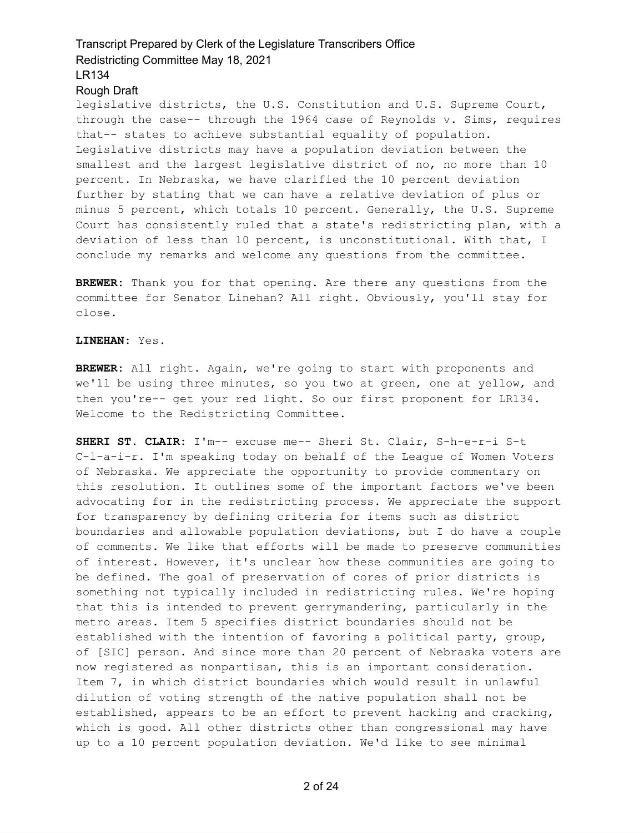#### Rough Draft

legislative districts, the U.S. Constitution and U.S. Supreme Court, through the case-- through the 1964 case of Reynolds v. Sims, requires that-- states to achieve substantial equality of population. Legislative districts may have a population deviation between the smallest and the largest legislative district of no, no more than 10 percent. In Nebraska, we have clarified the 10 percent deviation further by stating that we can have a relative deviation of plus or minus 5 percent, which totals 10 percent. Generally, the U.S. Supreme Court has consistently ruled that a state's redistricting plan, with a deviation of less than 10 percent, is unconstitutional. With that, I conclude my remarks and welcome any questions from the committee.

**BREWER:** Thank you for that opening. Are there any questions from the committee for Senator Linehan? All right. Obviously, you'll stay for close.

### **LINEHAN:** Yes.

**BREWER:** All right. Again, we're going to start with proponents and we'll be using three minutes, so you two at green, one at yellow, and then you're-- get your red light. So our first proponent for LR134. Welcome to the Redistricting Committee.

**SHERI ST. CLAIR:** I'm-- excuse me-- Sheri St. Clair, S-h-e-r-i S-t C-l-a-i-r. I'm speaking today on behalf of the League of Women Voters of Nebraska. We appreciate the opportunity to provide commentary on this resolution. It outlines some of the important factors we've been advocating for in the redistricting process. We appreciate the support for transparency by defining criteria for items such as district boundaries and allowable population deviations, but I do have a couple of comments. We like that efforts will be made to preserve communities of interest. However, it's unclear how these communities are going to be defined. The goal of preservation of cores of prior districts is something not typically included in redistricting rules. We're hoping that this is intended to prevent gerrymandering, particularly in the metro areas. Item 5 specifies district boundaries should not be established with the intention of favoring a political party, group, of [SIC] person. And since more than 20 percent of Nebraska voters are now registered as nonpartisan, this is an important consideration. Item 7, in which district boundaries which would result in unlawful dilution of voting strength of the native population shall not be established, appears to be an effort to prevent hacking and cracking, which is good. All other districts other than congressional may have up to a 10 percent population deviation. We'd like to see minimal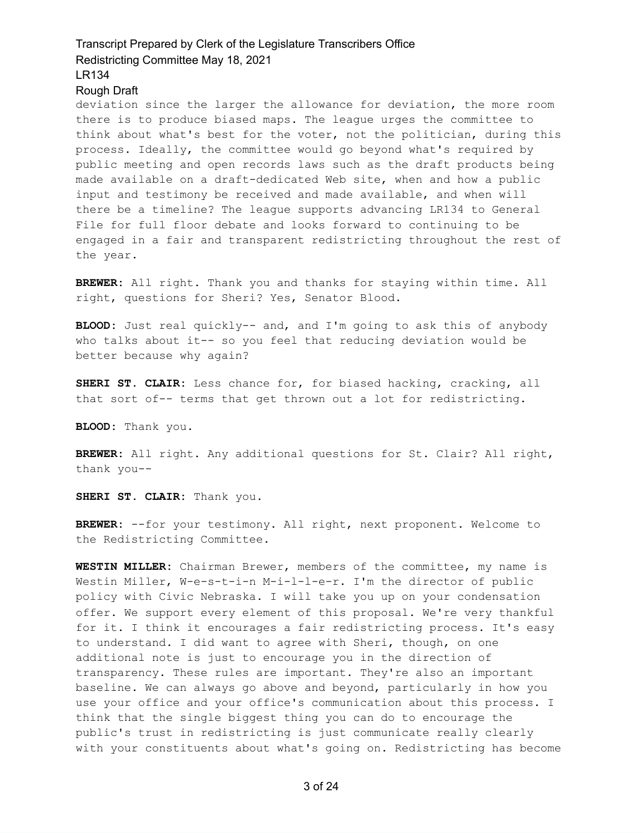### Rough Draft

deviation since the larger the allowance for deviation, the more room there is to produce biased maps. The league urges the committee to think about what's best for the voter, not the politician, during this process. Ideally, the committee would go beyond what's required by public meeting and open records laws such as the draft products being made available on a draft-dedicated Web site, when and how a public input and testimony be received and made available, and when will there be a timeline? The league supports advancing LR134 to General File for full floor debate and looks forward to continuing to be engaged in a fair and transparent redistricting throughout the rest of the year.

**BREWER:** All right. Thank you and thanks for staying within time. All right, questions for Sheri? Yes, Senator Blood.

**BLOOD:** Just real quickly-- and, and I'm going to ask this of anybody who talks about it-- so you feel that reducing deviation would be better because why again?

**SHERI ST. CLAIR:** Less chance for, for biased hacking, cracking, all that sort of-- terms that get thrown out a lot for redistricting.

**BLOOD:** Thank you.

**BREWER:** All right. Any additional questions for St. Clair? All right, thank you--

**SHERI ST. CLAIR:** Thank you.

**BREWER:** --for your testimony. All right, next proponent. Welcome to the Redistricting Committee.

**WESTIN MILLER:** Chairman Brewer, members of the committee, my name is Westin Miller, W-e-s-t-i-n M-i-l-l-e-r. I'm the director of public policy with Civic Nebraska. I will take you up on your condensation offer. We support every element of this proposal. We're very thankful for it. I think it encourages a fair redistricting process. It's easy to understand. I did want to agree with Sheri, though, on one additional note is just to encourage you in the direction of transparency. These rules are important. They're also an important baseline. We can always go above and beyond, particularly in how you use your office and your office's communication about this process. I think that the single biggest thing you can do to encourage the public's trust in redistricting is just communicate really clearly with your constituents about what's going on. Redistricting has become

3 of 24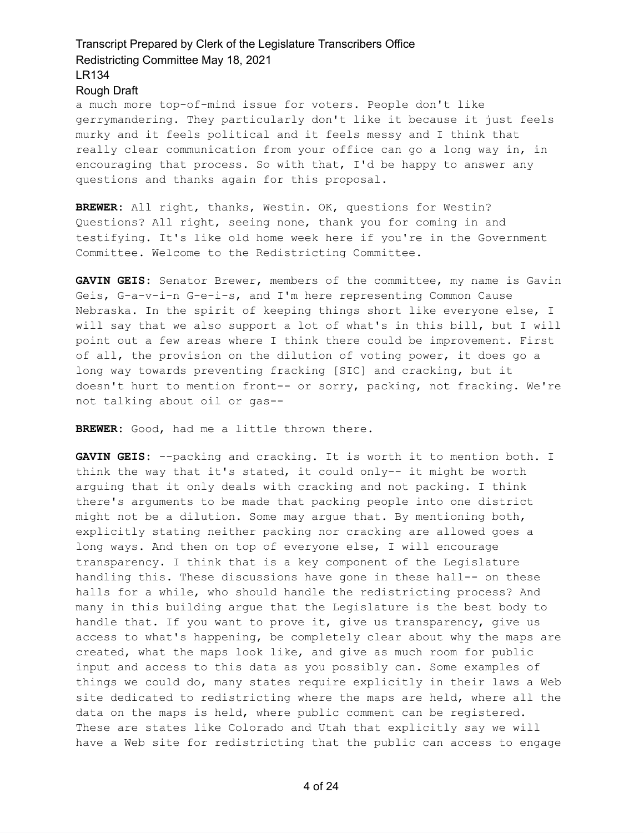### Rough Draft

a much more top-of-mind issue for voters. People don't like gerrymandering. They particularly don't like it because it just feels murky and it feels political and it feels messy and I think that really clear communication from your office can go a long way in, in encouraging that process. So with that, I'd be happy to answer any questions and thanks again for this proposal.

**BREWER:** All right, thanks, Westin. OK, questions for Westin? Questions? All right, seeing none, thank you for coming in and testifying. It's like old home week here if you're in the Government Committee. Welcome to the Redistricting Committee.

**GAVIN GEIS:** Senator Brewer, members of the committee, my name is Gavin Geis, G-a-v-i-n G-e-i-s, and I'm here representing Common Cause Nebraska. In the spirit of keeping things short like everyone else, I will say that we also support a lot of what's in this bill, but I will point out a few areas where I think there could be improvement. First of all, the provision on the dilution of voting power, it does go a long way towards preventing fracking [SIC] and cracking, but it doesn't hurt to mention front-- or sorry, packing, not fracking. We're not talking about oil or gas--

**BREWER:** Good, had me a little thrown there.

**GAVIN GEIS:** --packing and cracking. It is worth it to mention both. I think the way that it's stated, it could only-- it might be worth arguing that it only deals with cracking and not packing. I think there's arguments to be made that packing people into one district might not be a dilution. Some may argue that. By mentioning both, explicitly stating neither packing nor cracking are allowed goes a long ways. And then on top of everyone else, I will encourage transparency. I think that is a key component of the Legislature handling this. These discussions have gone in these hall-- on these halls for a while, who should handle the redistricting process? And many in this building argue that the Legislature is the best body to handle that. If you want to prove it, give us transparency, give us access to what's happening, be completely clear about why the maps are created, what the maps look like, and give as much room for public input and access to this data as you possibly can. Some examples of things we could do, many states require explicitly in their laws a Web site dedicated to redistricting where the maps are held, where all the data on the maps is held, where public comment can be registered. These are states like Colorado and Utah that explicitly say we will have a Web site for redistricting that the public can access to engage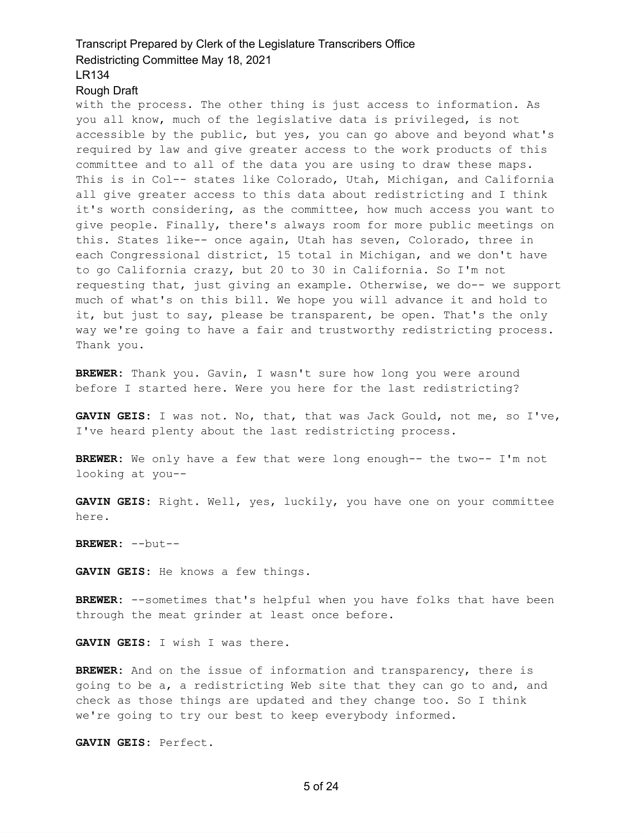### Rough Draft

with the process. The other thing is just access to information. As you all know, much of the legislative data is privileged, is not accessible by the public, but yes, you can go above and beyond what's required by law and give greater access to the work products of this committee and to all of the data you are using to draw these maps. This is in Col-- states like Colorado, Utah, Michigan, and California all give greater access to this data about redistricting and I think it's worth considering, as the committee, how much access you want to give people. Finally, there's always room for more public meetings on this. States like-- once again, Utah has seven, Colorado, three in each Congressional district, 15 total in Michigan, and we don't have to go California crazy, but 20 to 30 in California. So I'm not requesting that, just giving an example. Otherwise, we do-- we support much of what's on this bill. We hope you will advance it and hold to it, but just to say, please be transparent, be open. That's the only way we're going to have a fair and trustworthy redistricting process. Thank you.

**BREWER:** Thank you. Gavin, I wasn't sure how long you were around before I started here. Were you here for the last redistricting?

**GAVIN GEIS:** I was not. No, that, that was Jack Gould, not me, so I've, I've heard plenty about the last redistricting process.

**BREWER:** We only have a few that were long enough-- the two-- I'm not looking at you--

**GAVIN GEIS:** Right. Well, yes, luckily, you have one on your committee here.

**BREWER:** --but--

**GAVIN GEIS:** He knows a few things.

**BREWER:** --sometimes that's helpful when you have folks that have been through the meat grinder at least once before.

**GAVIN GEIS:** I wish I was there.

**BREWER:** And on the issue of information and transparency, there is going to be a, a redistricting Web site that they can go to and, and check as those things are updated and they change too. So I think we're going to try our best to keep everybody informed.

**GAVIN GEIS:** Perfect.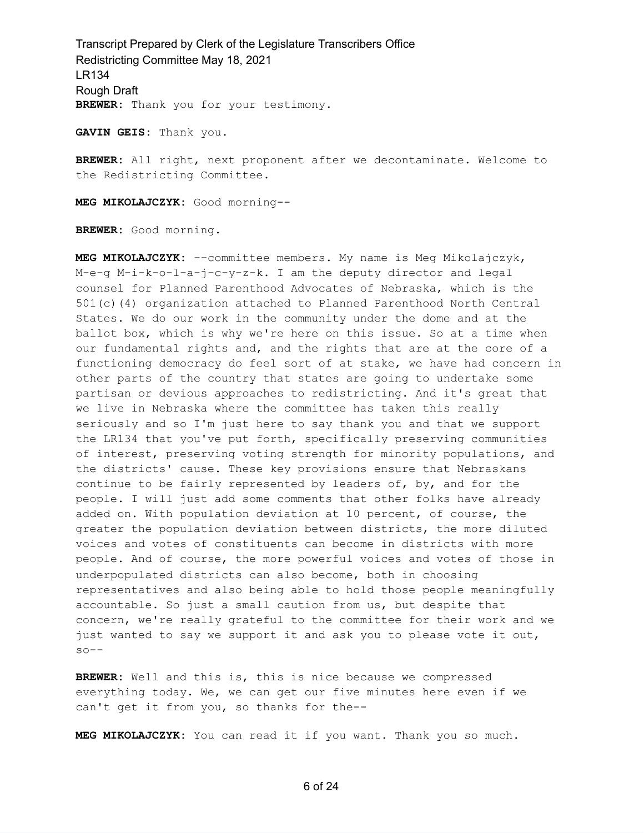Transcript Prepared by Clerk of the Legislature Transcribers Office Redistricting Committee May 18, 2021 LR134 Rough Draft **BREWER:** Thank you for your testimony.

**GAVIN GEIS:** Thank you.

**BREWER:** All right, next proponent after we decontaminate. Welcome to the Redistricting Committee.

**MEG MIKOLAJCZYK:** Good morning--

**BREWER:** Good morning.

**MEG MIKOLAJCZYK:** --committee members. My name is Meg Mikolajczyk, M-e-g M-i-k-o-l-a-j-c-y-z-k. I am the deputy director and legal counsel for Planned Parenthood Advocates of Nebraska, which is the 501(c)(4) organization attached to Planned Parenthood North Central States. We do our work in the community under the dome and at the ballot box, which is why we're here on this issue. So at a time when our fundamental rights and, and the rights that are at the core of a functioning democracy do feel sort of at stake, we have had concern in other parts of the country that states are going to undertake some partisan or devious approaches to redistricting. And it's great that we live in Nebraska where the committee has taken this really seriously and so I'm just here to say thank you and that we support the LR134 that you've put forth, specifically preserving communities of interest, preserving voting strength for minority populations, and the districts' cause. These key provisions ensure that Nebraskans continue to be fairly represented by leaders of, by, and for the people. I will just add some comments that other folks have already added on. With population deviation at 10 percent, of course, the greater the population deviation between districts, the more diluted voices and votes of constituents can become in districts with more people. And of course, the more powerful voices and votes of those in underpopulated districts can also become, both in choosing representatives and also being able to hold those people meaningfully accountable. So just a small caution from us, but despite that concern, we're really grateful to the committee for their work and we just wanted to say we support it and ask you to please vote it out,  $so--$ 

**BREWER:** Well and this is, this is nice because we compressed everything today. We, we can get our five minutes here even if we can't get it from you, so thanks for the--

**MEG MIKOLAJCZYK:** You can read it if you want. Thank you so much.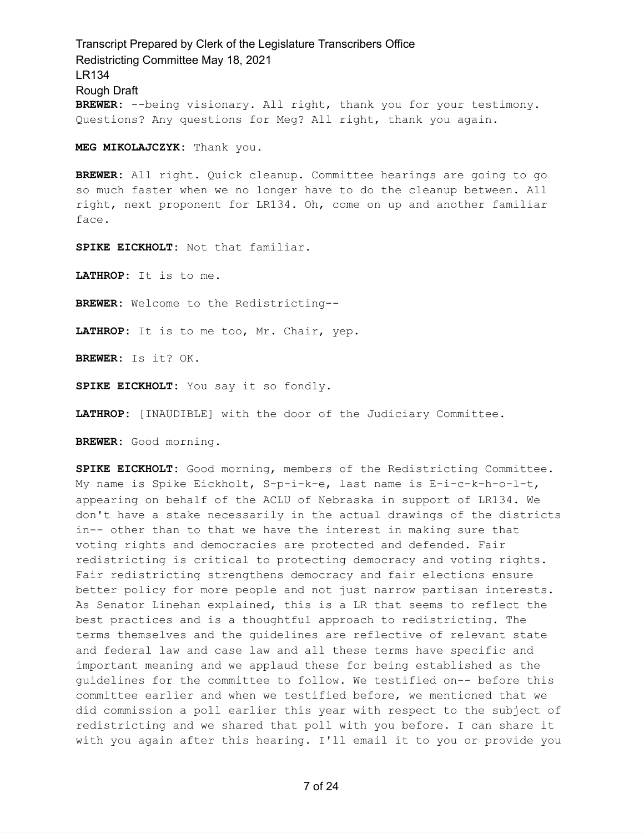Transcript Prepared by Clerk of the Legislature Transcribers Office Redistricting Committee May 18, 2021 LR134 Rough Draft **BREWER:** --being visionary. All right, thank you for your testimony. Questions? Any questions for Meg? All right, thank you again.

**MEG MIKOLAJCZYK:** Thank you.

**BREWER:** All right. Quick cleanup. Committee hearings are going to go so much faster when we no longer have to do the cleanup between. All right, next proponent for LR134. Oh, come on up and another familiar face.

**SPIKE EICKHOLT:** Not that familiar.

**LATHROP:** It is to me.

**BREWER:** Welcome to the Redistricting--

**LATHROP:** It is to me too, Mr. Chair, yep.

**BREWER:** Is it? OK.

**SPIKE EICKHOLT:** You say it so fondly.

**LATHROP:** [INAUDIBLE] with the door of the Judiciary Committee.

**BREWER:** Good morning.

**SPIKE EICKHOLT:** Good morning, members of the Redistricting Committee. My name is Spike Eickholt, S-p-i-k-e, last name is E-i-c-k-h-o-l-t, appearing on behalf of the ACLU of Nebraska in support of LR134. We don't have a stake necessarily in the actual drawings of the districts in-- other than to that we have the interest in making sure that voting rights and democracies are protected and defended. Fair redistricting is critical to protecting democracy and voting rights. Fair redistricting strengthens democracy and fair elections ensure better policy for more people and not just narrow partisan interests. As Senator Linehan explained, this is a LR that seems to reflect the best practices and is a thoughtful approach to redistricting. The terms themselves and the guidelines are reflective of relevant state and federal law and case law and all these terms have specific and important meaning and we applaud these for being established as the guidelines for the committee to follow. We testified on-- before this committee earlier and when we testified before, we mentioned that we did commission a poll earlier this year with respect to the subject of redistricting and we shared that poll with you before. I can share it with you again after this hearing. I'll email it to you or provide you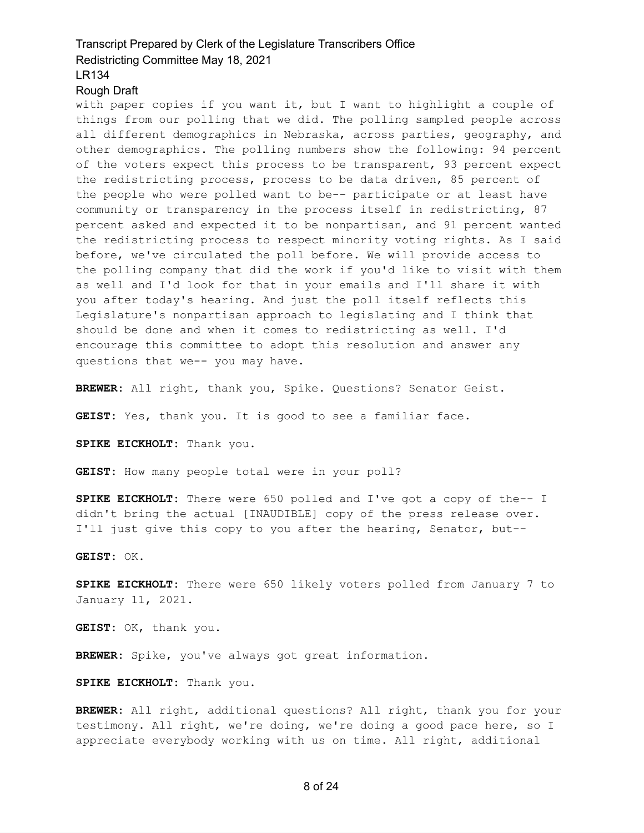### Rough Draft

with paper copies if you want it, but I want to highlight a couple of things from our polling that we did. The polling sampled people across all different demographics in Nebraska, across parties, geography, and other demographics. The polling numbers show the following: 94 percent of the voters expect this process to be transparent, 93 percent expect the redistricting process, process to be data driven, 85 percent of the people who were polled want to be-- participate or at least have community or transparency in the process itself in redistricting, 87 percent asked and expected it to be nonpartisan, and 91 percent wanted the redistricting process to respect minority voting rights. As I said before, we've circulated the poll before. We will provide access to the polling company that did the work if you'd like to visit with them as well and I'd look for that in your emails and I'll share it with you after today's hearing. And just the poll itself reflects this Legislature's nonpartisan approach to legislating and I think that should be done and when it comes to redistricting as well. I'd encourage this committee to adopt this resolution and answer any questions that we-- you may have.

**BREWER:** All right, thank you, Spike. Questions? Senator Geist.

**GEIST:** Yes, thank you. It is good to see a familiar face.

**SPIKE EICKHOLT:** Thank you.

**GEIST:** How many people total were in your poll?

**SPIKE EICKHOLT:** There were 650 polled and I've got a copy of the-- I didn't bring the actual [INAUDIBLE] copy of the press release over. I'll just give this copy to you after the hearing, Senator, but--

**GEIST:** OK.

**SPIKE EICKHOLT:** There were 650 likely voters polled from January 7 to January 11, 2021.

**GEIST:** OK, thank you.

**BREWER:** Spike, you've always got great information.

**SPIKE EICKHOLT:** Thank you.

**BREWER:** All right, additional questions? All right, thank you for your testimony. All right, we're doing, we're doing a good pace here, so I appreciate everybody working with us on time. All right, additional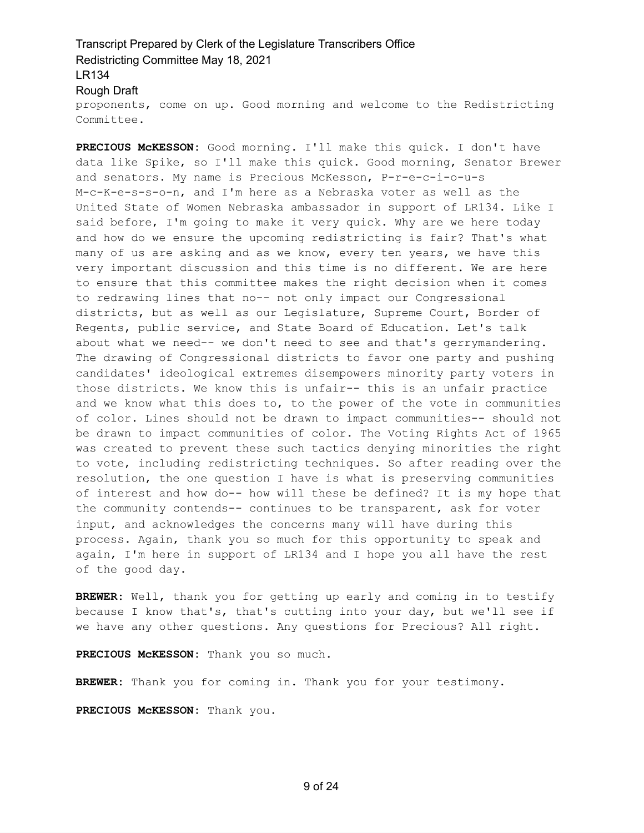## Transcript Prepared by Clerk of the Legislature Transcribers Office Redistricting Committee May 18, 2021 LR134 Rough Draft proponents, come on up. Good morning and welcome to the Redistricting

Committee.

**PRECIOUS McKESSON:** Good morning. I'll make this quick. I don't have data like Spike, so I'll make this quick. Good morning, Senator Brewer and senators. My name is Precious McKesson, P-r-e-c-i-o-u-s M-c-K-e-s-s-o-n, and I'm here as a Nebraska voter as well as the United State of Women Nebraska ambassador in support of LR134. Like I said before, I'm going to make it very quick. Why are we here today and how do we ensure the upcoming redistricting is fair? That's what many of us are asking and as we know, every ten years, we have this very important discussion and this time is no different. We are here to ensure that this committee makes the right decision when it comes to redrawing lines that no-- not only impact our Congressional districts, but as well as our Legislature, Supreme Court, Border of Regents, public service, and State Board of Education. Let's talk about what we need-- we don't need to see and that's gerrymandering. The drawing of Congressional districts to favor one party and pushing candidates' ideological extremes disempowers minority party voters in those districts. We know this is unfair-- this is an unfair practice and we know what this does to, to the power of the vote in communities of color. Lines should not be drawn to impact communities-- should not be drawn to impact communities of color. The Voting Rights Act of 1965 was created to prevent these such tactics denying minorities the right to vote, including redistricting techniques. So after reading over the resolution, the one question I have is what is preserving communities of interest and how do-- how will these be defined? It is my hope that the community contends-- continues to be transparent, ask for voter input, and acknowledges the concerns many will have during this process. Again, thank you so much for this opportunity to speak and again, I'm here in support of LR134 and I hope you all have the rest of the good day.

**BREWER:** Well, thank you for getting up early and coming in to testify because I know that's, that's cutting into your day, but we'll see if we have any other questions. Any questions for Precious? All right.

**PRECIOUS McKESSON:** Thank you so much.

**BREWER:** Thank you for coming in. Thank you for your testimony.

**PRECIOUS McKESSON:** Thank you.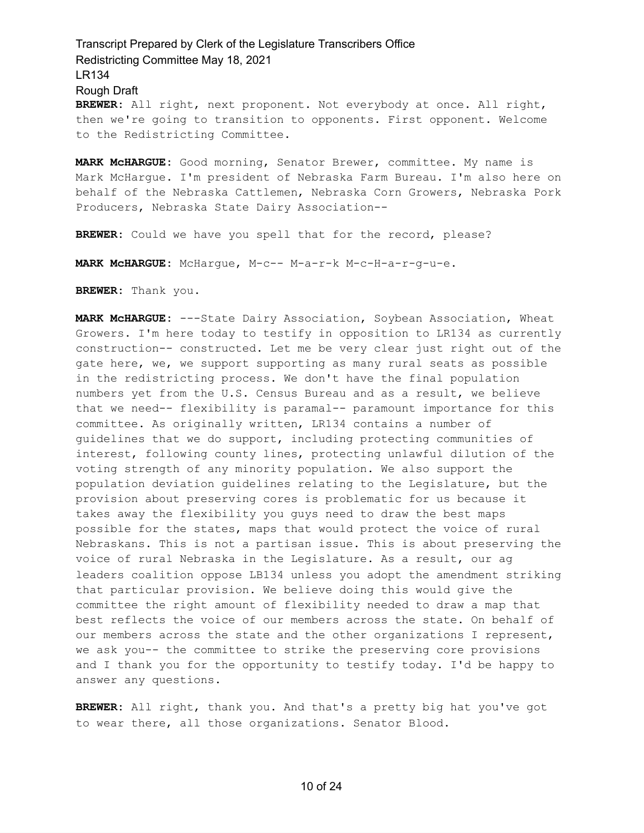**BREWER:** All right, next proponent. Not everybody at once. All right, then we're going to transition to opponents. First opponent. Welcome to the Redistricting Committee.

**MARK McHARGUE:** Good morning, Senator Brewer, committee. My name is Mark McHargue. I'm president of Nebraska Farm Bureau. I'm also here on behalf of the Nebraska Cattlemen, Nebraska Corn Growers, Nebraska Pork Producers, Nebraska State Dairy Association--

**BREWER:** Could we have you spell that for the record, please?

**MARK McHARGUE:** McHargue, M-c-- M-a-r-k M-c-H-a-r-g-u-e.

**BREWER:** Thank you.

**MARK McHARGUE:** ---State Dairy Association, Soybean Association, Wheat Growers. I'm here today to testify in opposition to LR134 as currently construction-- constructed. Let me be very clear just right out of the gate here, we, we support supporting as many rural seats as possible in the redistricting process. We don't have the final population numbers yet from the U.S. Census Bureau and as a result, we believe that we need-- flexibility is paramal-- paramount importance for this committee. As originally written, LR134 contains a number of guidelines that we do support, including protecting communities of interest, following county lines, protecting unlawful dilution of the voting strength of any minority population. We also support the population deviation guidelines relating to the Legislature, but the provision about preserving cores is problematic for us because it takes away the flexibility you guys need to draw the best maps possible for the states, maps that would protect the voice of rural Nebraskans. This is not a partisan issue. This is about preserving the voice of rural Nebraska in the Legislature. As a result, our ag leaders coalition oppose LB134 unless you adopt the amendment striking that particular provision. We believe doing this would give the committee the right amount of flexibility needed to draw a map that best reflects the voice of our members across the state. On behalf of our members across the state and the other organizations I represent, we ask you-- the committee to strike the preserving core provisions and I thank you for the opportunity to testify today. I'd be happy to answer any questions.

**BREWER:** All right, thank you. And that's a pretty big hat you've got to wear there, all those organizations. Senator Blood.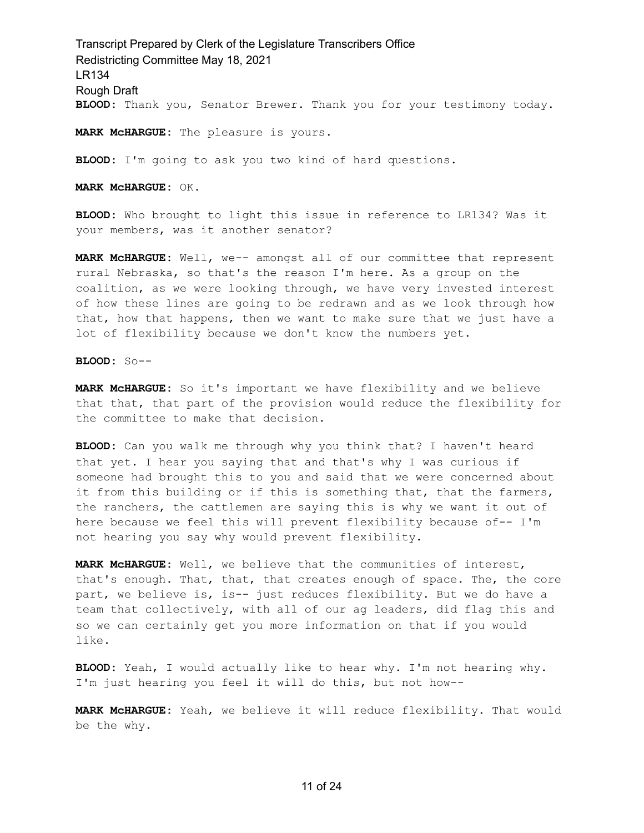Transcript Prepared by Clerk of the Legislature Transcribers Office Redistricting Committee May 18, 2021 LR134 Rough Draft **BLOOD:** Thank you, Senator Brewer. Thank you for your testimony today.

**MARK McHARGUE:** The pleasure is yours.

**BLOOD:** I'm going to ask you two kind of hard questions.

**MARK McHARGUE:** OK.

**BLOOD:** Who brought to light this issue in reference to LR134? Was it your members, was it another senator?

**MARK McHARGUE:** Well, we-- amongst all of our committee that represent rural Nebraska, so that's the reason I'm here. As a group on the coalition, as we were looking through, we have very invested interest of how these lines are going to be redrawn and as we look through how that, how that happens, then we want to make sure that we just have a lot of flexibility because we don't know the numbers yet.

**BLOOD:** So--

**MARK McHARGUE:** So it's important we have flexibility and we believe that that, that part of the provision would reduce the flexibility for the committee to make that decision.

**BLOOD:** Can you walk me through why you think that? I haven't heard that yet. I hear you saying that and that's why I was curious if someone had brought this to you and said that we were concerned about it from this building or if this is something that, that the farmers, the ranchers, the cattlemen are saying this is why we want it out of here because we feel this will prevent flexibility because of-- I'm not hearing you say why would prevent flexibility.

**MARK McHARGUE:** Well, we believe that the communities of interest, that's enough. That, that, that creates enough of space. The, the core part, we believe is, is-- just reduces flexibility. But we do have a team that collectively, with all of our ag leaders, did flag this and so we can certainly get you more information on that if you would like.

**BLOOD:** Yeah, I would actually like to hear why. I'm not hearing why. I'm just hearing you feel it will do this, but not how--

**MARK McHARGUE:** Yeah, we believe it will reduce flexibility. That would be the why.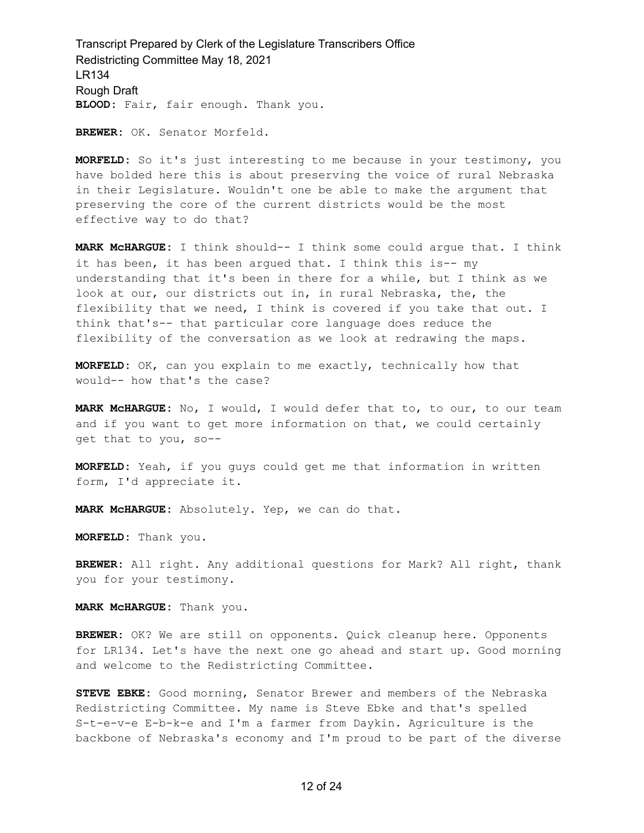Transcript Prepared by Clerk of the Legislature Transcribers Office Redistricting Committee May 18, 2021 LR134 Rough Draft **BLOOD:** Fair, fair enough. Thank you.

**BREWER:** OK. Senator Morfeld.

**MORFELD:** So it's just interesting to me because in your testimony, you have bolded here this is about preserving the voice of rural Nebraska in their Legislature. Wouldn't one be able to make the argument that preserving the core of the current districts would be the most effective way to do that?

**MARK McHARGUE:** I think should-- I think some could argue that. I think it has been, it has been argued that. I think this is-- my understanding that it's been in there for a while, but I think as we look at our, our districts out in, in rural Nebraska, the, the flexibility that we need, I think is covered if you take that out. I think that's-- that particular core language does reduce the flexibility of the conversation as we look at redrawing the maps.

**MORFELD:** OK, can you explain to me exactly, technically how that would-- how that's the case?

**MARK McHARGUE:** No, I would, I would defer that to, to our, to our team and if you want to get more information on that, we could certainly get that to you, so--

**MORFELD:** Yeah, if you guys could get me that information in written form, I'd appreciate it.

**MARK McHARGUE:** Absolutely. Yep, we can do that.

**MORFELD:** Thank you.

**BREWER:** All right. Any additional questions for Mark? All right, thank you for your testimony.

**MARK McHARGUE:** Thank you.

**BREWER:** OK? We are still on opponents. Quick cleanup here. Opponents for LR134. Let's have the next one go ahead and start up. Good morning and welcome to the Redistricting Committee.

**STEVE EBKE:** Good morning, Senator Brewer and members of the Nebraska Redistricting Committee. My name is Steve Ebke and that's spelled S-t-e-v-e E-b-k-e and I'm a farmer from Daykin. Agriculture is the backbone of Nebraska's economy and I'm proud to be part of the diverse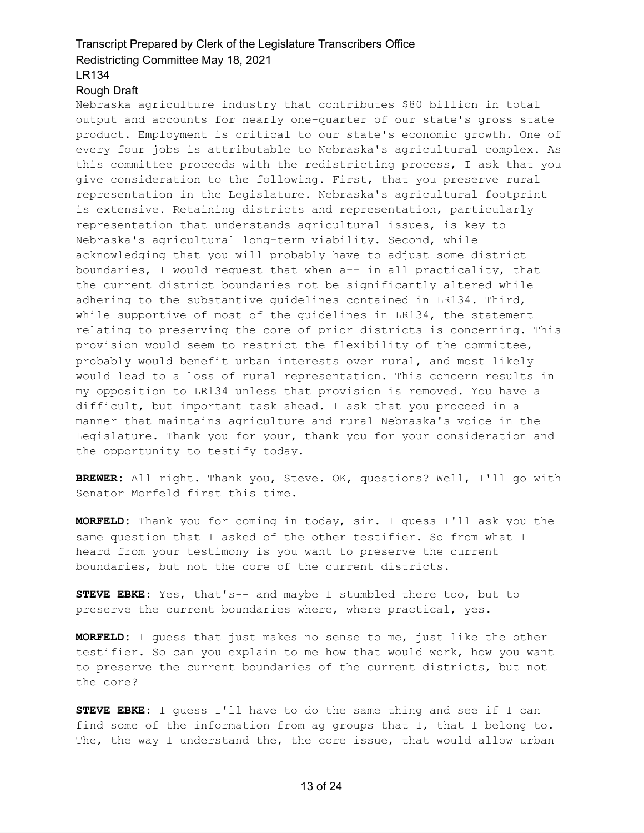### Rough Draft

Nebraska agriculture industry that contributes \$80 billion in total output and accounts for nearly one-quarter of our state's gross state product. Employment is critical to our state's economic growth. One of every four jobs is attributable to Nebraska's agricultural complex. As this committee proceeds with the redistricting process, I ask that you give consideration to the following. First, that you preserve rural representation in the Legislature. Nebraska's agricultural footprint is extensive. Retaining districts and representation, particularly representation that understands agricultural issues, is key to Nebraska's agricultural long-term viability. Second, while acknowledging that you will probably have to adjust some district boundaries, I would request that when a-- in all practicality, that the current district boundaries not be significantly altered while adhering to the substantive guidelines contained in LR134. Third, while supportive of most of the guidelines in LR134, the statement relating to preserving the core of prior districts is concerning. This provision would seem to restrict the flexibility of the committee, probably would benefit urban interests over rural, and most likely would lead to a loss of rural representation. This concern results in my opposition to LR134 unless that provision is removed. You have a difficult, but important task ahead. I ask that you proceed in a manner that maintains agriculture and rural Nebraska's voice in the Legislature. Thank you for your, thank you for your consideration and the opportunity to testify today.

**BREWER:** All right. Thank you, Steve. OK, questions? Well, I'll go with Senator Morfeld first this time.

**MORFELD:** Thank you for coming in today, sir. I guess I'll ask you the same question that I asked of the other testifier. So from what I heard from your testimony is you want to preserve the current boundaries, but not the core of the current districts.

**STEVE EBKE:** Yes, that's-- and maybe I stumbled there too, but to preserve the current boundaries where, where practical, yes.

**MORFELD:** I guess that just makes no sense to me, just like the other testifier. So can you explain to me how that would work, how you want to preserve the current boundaries of the current districts, but not the core?

**STEVE EBKE:** I guess I'll have to do the same thing and see if I can find some of the information from ag groups that I, that I belong to. The, the way I understand the, the core issue, that would allow urban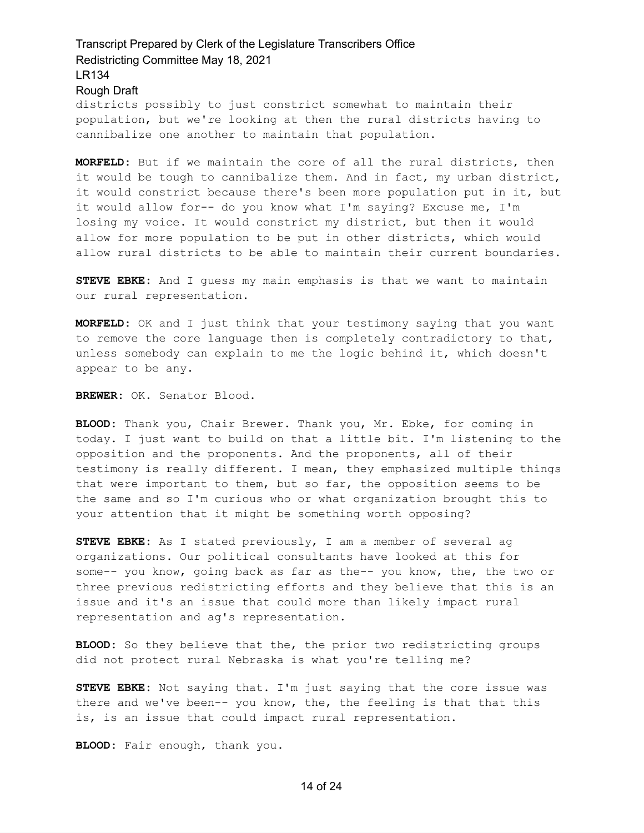districts possibly to just constrict somewhat to maintain their population, but we're looking at then the rural districts having to cannibalize one another to maintain that population.

**MORFELD:** But if we maintain the core of all the rural districts, then it would be tough to cannibalize them. And in fact, my urban district, it would constrict because there's been more population put in it, but it would allow for-- do you know what I'm saying? Excuse me, I'm losing my voice. It would constrict my district, but then it would allow for more population to be put in other districts, which would allow rural districts to be able to maintain their current boundaries.

**STEVE EBKE:** And I guess my main emphasis is that we want to maintain our rural representation.

**MORFELD:** OK and I just think that your testimony saying that you want to remove the core language then is completely contradictory to that, unless somebody can explain to me the logic behind it, which doesn't appear to be any.

**BREWER:** OK. Senator Blood.

**BLOOD:** Thank you, Chair Brewer. Thank you, Mr. Ebke, for coming in today. I just want to build on that a little bit. I'm listening to the opposition and the proponents. And the proponents, all of their testimony is really different. I mean, they emphasized multiple things that were important to them, but so far, the opposition seems to be the same and so I'm curious who or what organization brought this to your attention that it might be something worth opposing?

**STEVE EBKE:** As I stated previously, I am a member of several ag organizations. Our political consultants have looked at this for some-- you know, going back as far as the-- you know, the, the two or three previous redistricting efforts and they believe that this is an issue and it's an issue that could more than likely impact rural representation and ag's representation.

**BLOOD:** So they believe that the, the prior two redistricting groups did not protect rural Nebraska is what you're telling me?

**STEVE EBKE:** Not saying that. I'm just saying that the core issue was there and we've been-- you know, the, the feeling is that that this is, is an issue that could impact rural representation.

**BLOOD:** Fair enough, thank you.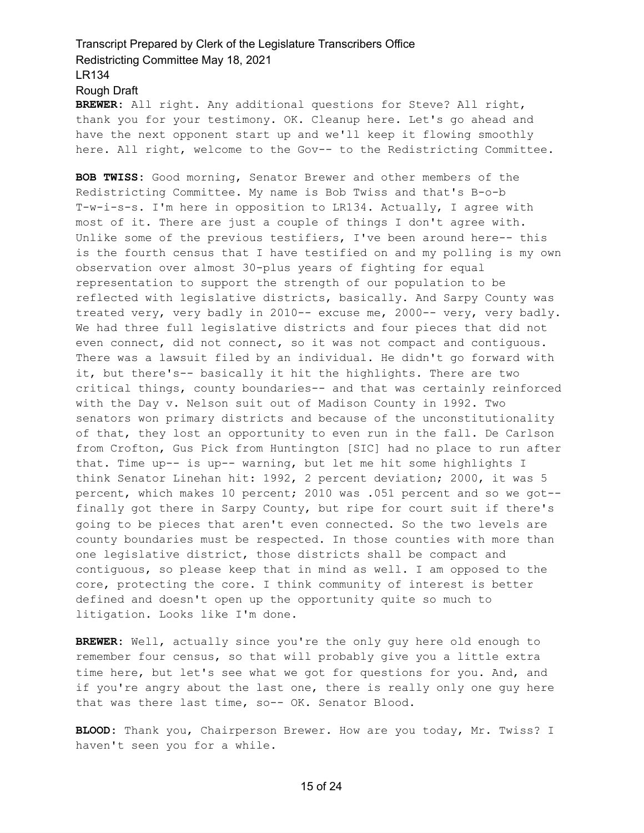**BREWER:** All right. Any additional questions for Steve? All right, thank you for your testimony. OK. Cleanup here. Let's go ahead and have the next opponent start up and we'll keep it flowing smoothly here. All right, welcome to the Gov-- to the Redistricting Committee.

**BOB TWISS:** Good morning, Senator Brewer and other members of the Redistricting Committee. My name is Bob Twiss and that's B-o-b T-w-i-s-s. I'm here in opposition to LR134. Actually, I agree with most of it. There are just a couple of things I don't agree with. Unlike some of the previous testifiers, I've been around here-- this is the fourth census that I have testified on and my polling is my own observation over almost 30-plus years of fighting for equal representation to support the strength of our population to be reflected with legislative districts, basically. And Sarpy County was treated very, very badly in 2010-- excuse me, 2000-- very, very badly. We had three full legislative districts and four pieces that did not even connect, did not connect, so it was not compact and contiguous. There was a lawsuit filed by an individual. He didn't go forward with it, but there's-- basically it hit the highlights. There are two critical things, county boundaries-- and that was certainly reinforced with the Day v. Nelson suit out of Madison County in 1992. Two senators won primary districts and because of the unconstitutionality of that, they lost an opportunity to even run in the fall. De Carlson from Crofton, Gus Pick from Huntington [SIC] had no place to run after that. Time up-- is up-- warning, but let me hit some highlights I think Senator Linehan hit: 1992, 2 percent deviation; 2000, it was 5 percent, which makes 10 percent; 2010 was .051 percent and so we got- finally got there in Sarpy County, but ripe for court suit if there's going to be pieces that aren't even connected. So the two levels are county boundaries must be respected. In those counties with more than one legislative district, those districts shall be compact and contiguous, so please keep that in mind as well. I am opposed to the core, protecting the core. I think community of interest is better defined and doesn't open up the opportunity quite so much to litigation. Looks like I'm done.

**BREWER:** Well, actually since you're the only guy here old enough to remember four census, so that will probably give you a little extra time here, but let's see what we got for questions for you. And, and if you're angry about the last one, there is really only one guy here that was there last time, so-- OK. Senator Blood.

**BLOOD:** Thank you, Chairperson Brewer. How are you today, Mr. Twiss? I haven't seen you for a while.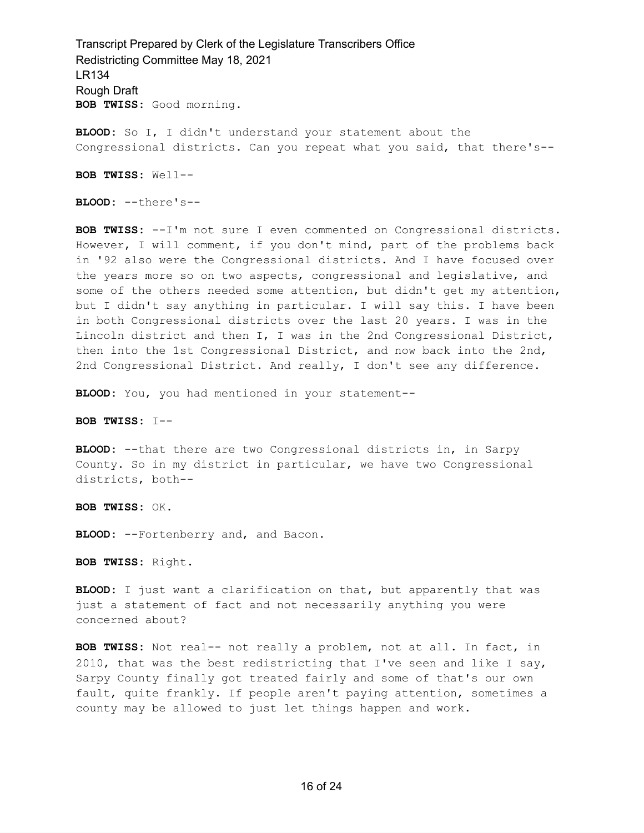**BLOOD:** So I, I didn't understand your statement about the Congressional districts. Can you repeat what you said, that there's--

**BOB TWISS:** Well--

**BLOOD:** --there's--

**BOB TWISS:** --I'm not sure I even commented on Congressional districts. However, I will comment, if you don't mind, part of the problems back in '92 also were the Congressional districts. And I have focused over the years more so on two aspects, congressional and legislative, and some of the others needed some attention, but didn't get my attention, but I didn't say anything in particular. I will say this. I have been in both Congressional districts over the last 20 years. I was in the Lincoln district and then I, I was in the 2nd Congressional District, then into the 1st Congressional District, and now back into the 2nd, 2nd Congressional District. And really, I don't see any difference.

**BLOOD:** You, you had mentioned in your statement--

**BOB TWISS:** I--

**BLOOD:** --that there are two Congressional districts in, in Sarpy County. So in my district in particular, we have two Congressional districts, both--

**BOB TWISS:** OK.

**BLOOD:** --Fortenberry and, and Bacon.

**BOB TWISS:** Right.

**BLOOD:** I just want a clarification on that, but apparently that was just a statement of fact and not necessarily anything you were concerned about?

**BOB TWISS:** Not real-- not really a problem, not at all. In fact, in 2010, that was the best redistricting that I've seen and like I say, Sarpy County finally got treated fairly and some of that's our own fault, quite frankly. If people aren't paying attention, sometimes a county may be allowed to just let things happen and work.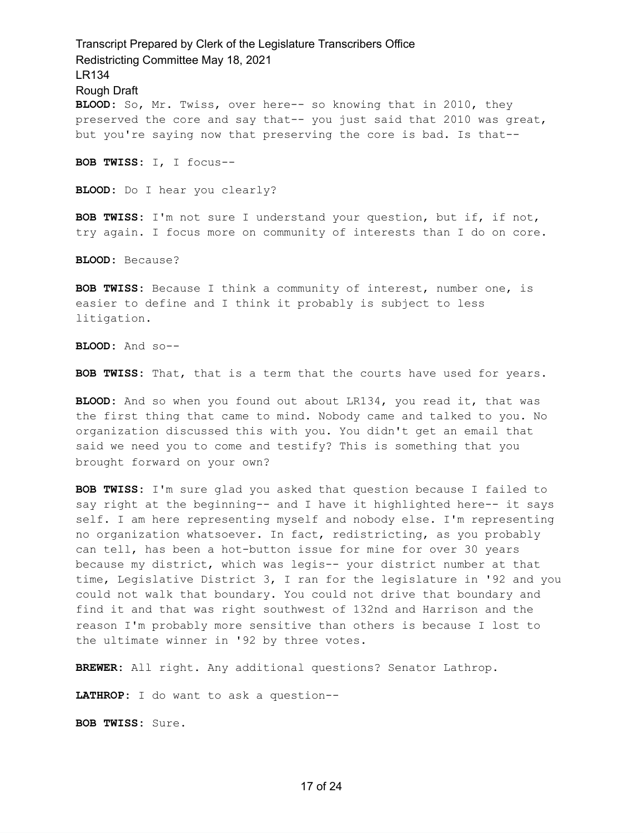Transcript Prepared by Clerk of the Legislature Transcribers Office Redistricting Committee May 18, 2021 LR134 Rough Draft **BLOOD:** So, Mr. Twiss, over here-- so knowing that in 2010, they preserved the core and say that-- you just said that 2010 was great, but you're saying now that preserving the core is bad. Is that-- **BOB TWISS:** I, I focus-- **BLOOD:** Do I hear you clearly? **BOB TWISS:** I'm not sure I understand your question, but if, if not, try again. I focus more on community of interests than I do on core.

**BLOOD:** Because?

**BOB TWISS:** Because I think a community of interest, number one, is easier to define and I think it probably is subject to less litigation.

**BLOOD:** And so--

**BOB TWISS:** That, that is a term that the courts have used for years.

**BLOOD:** And so when you found out about LR134, you read it, that was the first thing that came to mind. Nobody came and talked to you. No organization discussed this with you. You didn't get an email that said we need you to come and testify? This is something that you brought forward on your own?

**BOB TWISS:** I'm sure glad you asked that question because I failed to say right at the beginning-- and I have it highlighted here-- it says self. I am here representing myself and nobody else. I'm representing no organization whatsoever. In fact, redistricting, as you probably can tell, has been a hot-button issue for mine for over 30 years because my district, which was legis-- your district number at that time, Legislative District 3, I ran for the legislature in '92 and you could not walk that boundary. You could not drive that boundary and find it and that was right southwest of 132nd and Harrison and the reason I'm probably more sensitive than others is because I lost to the ultimate winner in '92 by three votes.

**BREWER:** All right. Any additional questions? Senator Lathrop.

**LATHROP:** I do want to ask a question--

**BOB TWISS:** Sure.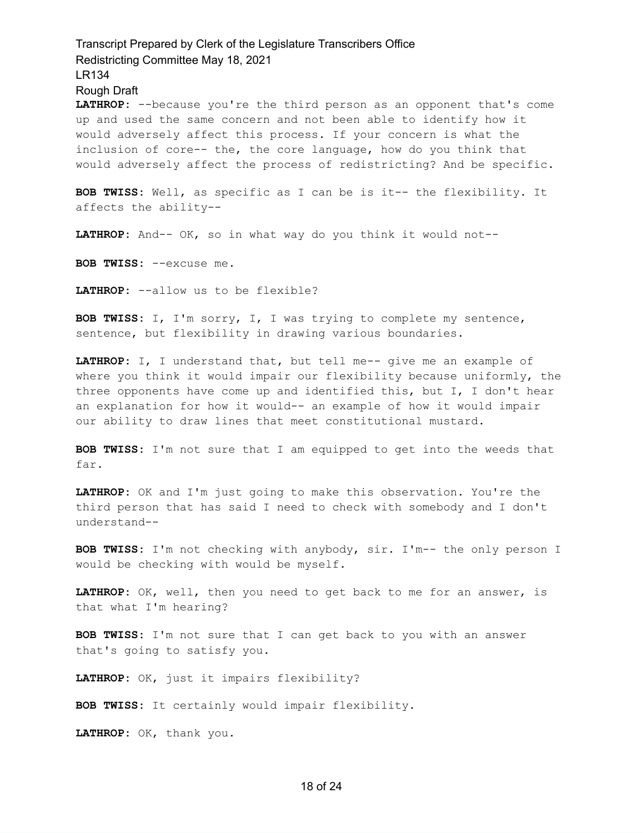**LATHROP:** --because you're the third person as an opponent that's come up and used the same concern and not been able to identify how it would adversely affect this process. If your concern is what the inclusion of core-- the, the core language, how do you think that would adversely affect the process of redistricting? And be specific.

**BOB TWISS:** Well, as specific as I can be is it-- the flexibility. It affects the ability--

**LATHROP:** And-- OK, so in what way do you think it would not--

**BOB TWISS:** --excuse me.

**LATHROP:** --allow us to be flexible?

**BOB TWISS:** I, I'm sorry, I, I was trying to complete my sentence, sentence, but flexibility in drawing various boundaries.

**LATHROP:** I, I understand that, but tell me-- give me an example of where you think it would impair our flexibility because uniformly, the three opponents have come up and identified this, but I, I don't hear an explanation for how it would-- an example of how it would impair our ability to draw lines that meet constitutional mustard.

**BOB TWISS:** I'm not sure that I am equipped to get into the weeds that far.

**LATHROP:** OK and I'm just going to make this observation. You're the third person that has said I need to check with somebody and I don't understand--

**BOB TWISS:** I'm not checking with anybody, sir. I'm-- the only person I would be checking with would be myself.

**LATHROP:** OK, well, then you need to get back to me for an answer, is that what I'm hearing?

**BOB TWISS:** I'm not sure that I can get back to you with an answer that's going to satisfy you.

**LATHROP:** OK, just it impairs flexibility?

**BOB TWISS:** It certainly would impair flexibility.

**LATHROP:** OK, thank you.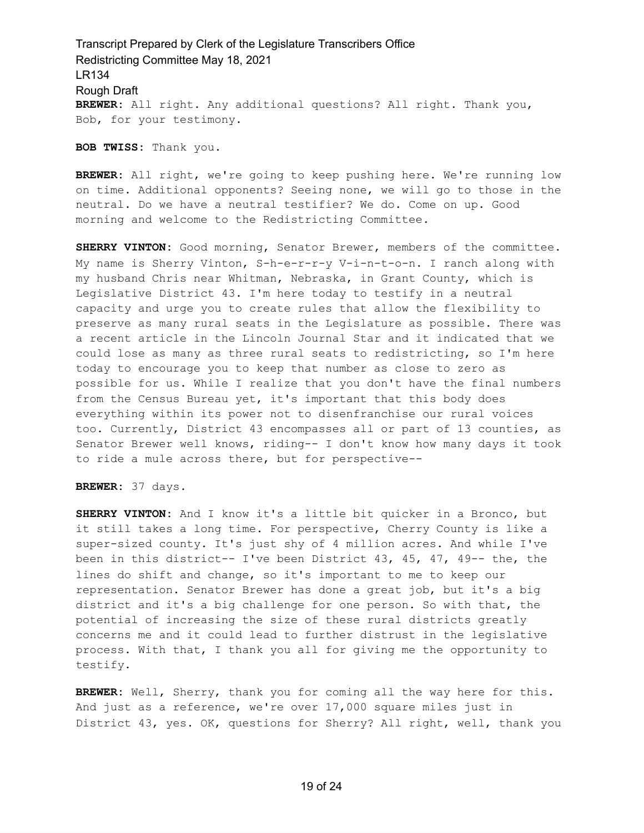Transcript Prepared by Clerk of the Legislature Transcribers Office Redistricting Committee May 18, 2021 LR134 Rough Draft **BREWER:** All right. Any additional questions? All right. Thank you, Bob, for your testimony.

**BOB TWISS:** Thank you.

**BREWER:** All right, we're going to keep pushing here. We're running low on time. Additional opponents? Seeing none, we will go to those in the neutral. Do we have a neutral testifier? We do. Come on up. Good morning and welcome to the Redistricting Committee.

**SHERRY VINTON:** Good morning, Senator Brewer, members of the committee. My name is Sherry Vinton, S-h-e-r-r-y V-i-n-t-o-n. I ranch along with my husband Chris near Whitman, Nebraska, in Grant County, which is Legislative District 43. I'm here today to testify in a neutral capacity and urge you to create rules that allow the flexibility to preserve as many rural seats in the Legislature as possible. There was a recent article in the Lincoln Journal Star and it indicated that we could lose as many as three rural seats to redistricting, so I'm here today to encourage you to keep that number as close to zero as possible for us. While I realize that you don't have the final numbers from the Census Bureau yet, it's important that this body does everything within its power not to disenfranchise our rural voices too. Currently, District 43 encompasses all or part of 13 counties, as Senator Brewer well knows, riding-- I don't know how many days it took to ride a mule across there, but for perspective--

**BREWER:** 37 days.

**SHERRY VINTON:** And I know it's a little bit quicker in a Bronco, but it still takes a long time. For perspective, Cherry County is like a super-sized county. It's just shy of 4 million acres. And while I've been in this district-- I've been District 43, 45, 47, 49-- the, the lines do shift and change, so it's important to me to keep our representation. Senator Brewer has done a great job, but it's a big district and it's a big challenge for one person. So with that, the potential of increasing the size of these rural districts greatly concerns me and it could lead to further distrust in the legislative process. With that, I thank you all for giving me the opportunity to testify.

**BREWER:** Well, Sherry, thank you for coming all the way here for this. And just as a reference, we're over 17,000 square miles just in District 43, yes. OK, questions for Sherry? All right, well, thank you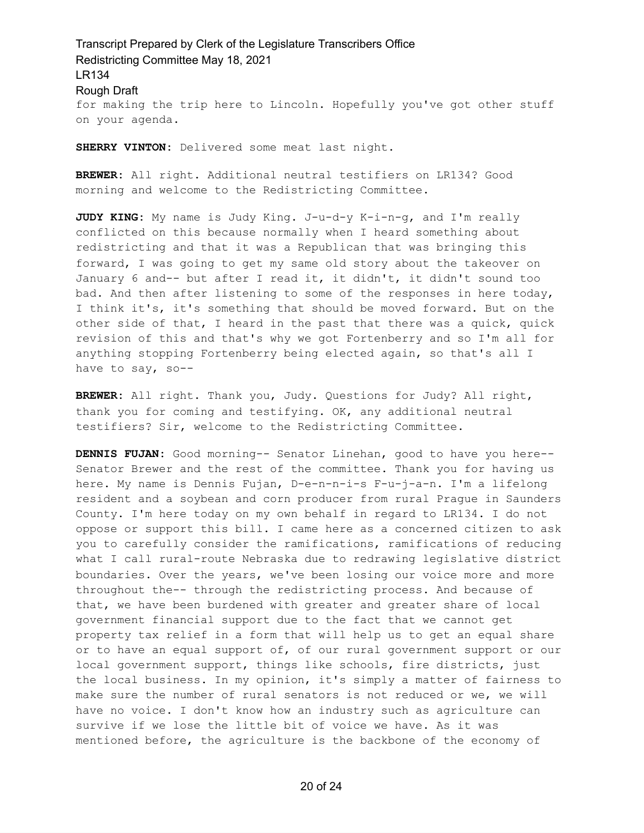Transcript Prepared by Clerk of the Legislature Transcribers Office Redistricting Committee May 18, 2021 LR134 Rough Draft for making the trip here to Lincoln. Hopefully you've got other stuff on your agenda.

**SHERRY VINTON:** Delivered some meat last night.

**BREWER:** All right. Additional neutral testifiers on LR134? Good morning and welcome to the Redistricting Committee.

**JUDY KING:** My name is Judy King. J-u-d-y K-i-n-g, and I'm really conflicted on this because normally when I heard something about redistricting and that it was a Republican that was bringing this forward, I was going to get my same old story about the takeover on January 6 and-- but after I read it, it didn't, it didn't sound too bad. And then after listening to some of the responses in here today, I think it's, it's something that should be moved forward. But on the other side of that, I heard in the past that there was a quick, quick revision of this and that's why we got Fortenberry and so I'm all for anything stopping Fortenberry being elected again, so that's all I have to say, so--

**BREWER:** All right. Thank you, Judy. Questions for Judy? All right, thank you for coming and testifying. OK, any additional neutral testifiers? Sir, welcome to the Redistricting Committee.

**DENNIS FUJAN:** Good morning-- Senator Linehan, good to have you here-- Senator Brewer and the rest of the committee. Thank you for having us here. My name is Dennis Fujan, D-e-n-n-i-s F-u-j-a-n. I'm a lifelong resident and a soybean and corn producer from rural Prague in Saunders County. I'm here today on my own behalf in regard to LR134. I do not oppose or support this bill. I came here as a concerned citizen to ask you to carefully consider the ramifications, ramifications of reducing what I call rural-route Nebraska due to redrawing legislative district boundaries. Over the years, we've been losing our voice more and more throughout the-- through the redistricting process. And because of that, we have been burdened with greater and greater share of local government financial support due to the fact that we cannot get property tax relief in a form that will help us to get an equal share or to have an equal support of, of our rural government support or our local government support, things like schools, fire districts, just the local business. In my opinion, it's simply a matter of fairness to make sure the number of rural senators is not reduced or we, we will have no voice. I don't know how an industry such as agriculture can survive if we lose the little bit of voice we have. As it was mentioned before, the agriculture is the backbone of the economy of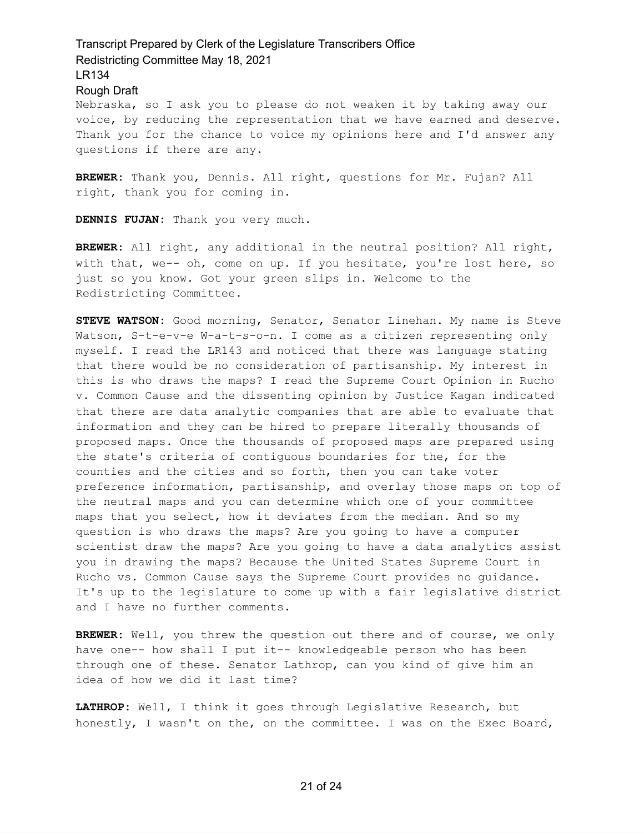Rough Draft

Nebraska, so I ask you to please do not weaken it by taking away our voice, by reducing the representation that we have earned and deserve. Thank you for the chance to voice my opinions here and I'd answer any questions if there are any.

**BREWER:** Thank you, Dennis. All right, questions for Mr. Fujan? All right, thank you for coming in.

**DENNIS FUJAN:** Thank you very much.

**BREWER:** All right, any additional in the neutral position? All right, with that, we-- oh, come on up. If you hesitate, you're lost here, so just so you know. Got your green slips in. Welcome to the Redistricting Committee.

**STEVE WATSON:** Good morning, Senator, Senator Linehan. My name is Steve Watson, S-t-e-v-e W-a-t-s-o-n. I come as a citizen representing only myself. I read the LR143 and noticed that there was language stating that there would be no consideration of partisanship. My interest in this is who draws the maps? I read the Supreme Court Opinion in Rucho v. Common Cause and the dissenting opinion by Justice Kagan indicated that there are data analytic companies that are able to evaluate that information and they can be hired to prepare literally thousands of proposed maps. Once the thousands of proposed maps are prepared using the state's criteria of contiguous boundaries for the, for the counties and the cities and so forth, then you can take voter preference information, partisanship, and overlay those maps on top of the neutral maps and you can determine which one of your committee maps that you select, how it deviates from the median. And so my question is who draws the maps? Are you going to have a computer scientist draw the maps? Are you going to have a data analytics assist you in drawing the maps? Because the United States Supreme Court in Rucho vs. Common Cause says the Supreme Court provides no guidance. It's up to the legislature to come up with a fair legislative district and I have no further comments.

**BREWER:** Well, you threw the question out there and of course, we only have one-- how shall I put it-- knowledgeable person who has been through one of these. Senator Lathrop, can you kind of give him an idea of how we did it last time?

**LATHROP:** Well, I think it goes through Legislative Research, but honestly, I wasn't on the, on the committee. I was on the Exec Board,

### 21 of 24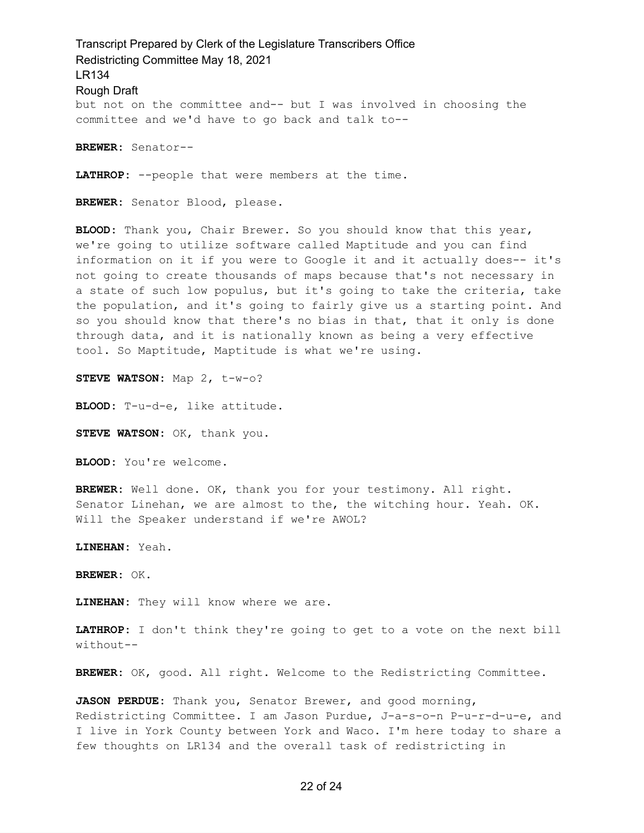Transcript Prepared by Clerk of the Legislature Transcribers Office Redistricting Committee May 18, 2021 LR134 Rough Draft but not on the committee and-- but I was involved in choosing the committee and we'd have to go back and talk to--

**BREWER:** Senator--

**LATHROP:** --people that were members at the time.

**BREWER:** Senator Blood, please.

**BLOOD:** Thank you, Chair Brewer. So you should know that this year, we're going to utilize software called Maptitude and you can find information on it if you were to Google it and it actually does-- it's not going to create thousands of maps because that's not necessary in a state of such low populus, but it's going to take the criteria, take the population, and it's going to fairly give us a starting point. And so you should know that there's no bias in that, that it only is done through data, and it is nationally known as being a very effective tool. So Maptitude, Maptitude is what we're using.

**STEVE WATSON:** Map 2, t-w-o?

**BLOOD:** T-u-d-e, like attitude.

**STEVE WATSON:** OK, thank you.

**BLOOD:** You're welcome.

**BREWER:** Well done. OK, thank you for your testimony. All right. Senator Linehan, we are almost to the, the witching hour. Yeah. OK. Will the Speaker understand if we're AWOL?

**LINEHAN:** Yeah.

**BREWER:** OK.

**LINEHAN:** They will know where we are.

**LATHROP:** I don't think they're going to get to a vote on the next bill without--

**BREWER:** OK, good. All right. Welcome to the Redistricting Committee.

**JASON PERDUE:** Thank you, Senator Brewer, and good morning, Redistricting Committee. I am Jason Purdue, J-a-s-o-n P-u-r-d-u-e, and I live in York County between York and Waco. I'm here today to share a few thoughts on LR134 and the overall task of redistricting in

### 22 of 24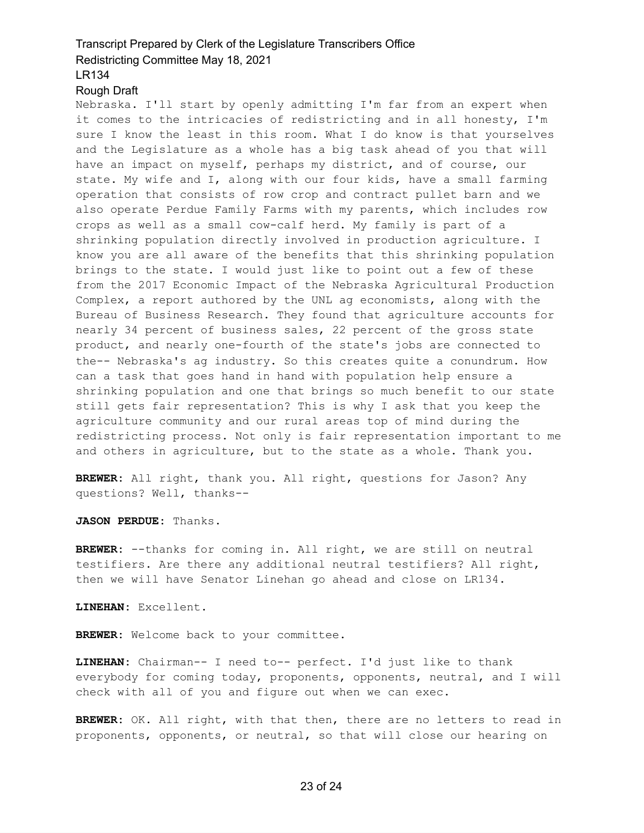#### Rough Draft

Nebraska. I'll start by openly admitting I'm far from an expert when it comes to the intricacies of redistricting and in all honesty, I'm sure I know the least in this room. What I do know is that yourselves and the Legislature as a whole has a big task ahead of you that will have an impact on myself, perhaps my district, and of course, our state. My wife and I, along with our four kids, have a small farming operation that consists of row crop and contract pullet barn and we also operate Perdue Family Farms with my parents, which includes row crops as well as a small cow-calf herd. My family is part of a shrinking population directly involved in production agriculture. I know you are all aware of the benefits that this shrinking population brings to the state. I would just like to point out a few of these from the 2017 Economic Impact of the Nebraska Agricultural Production Complex, a report authored by the UNL ag economists, along with the Bureau of Business Research. They found that agriculture accounts for nearly 34 percent of business sales, 22 percent of the gross state product, and nearly one-fourth of the state's jobs are connected to the-- Nebraska's ag industry. So this creates quite a conundrum. How can a task that goes hand in hand with population help ensure a shrinking population and one that brings so much benefit to our state still gets fair representation? This is why I ask that you keep the agriculture community and our rural areas top of mind during the redistricting process. Not only is fair representation important to me and others in agriculture, but to the state as a whole. Thank you.

**BREWER:** All right, thank you. All right, questions for Jason? Any questions? Well, thanks--

**JASON PERDUE:** Thanks.

**BREWER:** --thanks for coming in. All right, we are still on neutral testifiers. Are there any additional neutral testifiers? All right, then we will have Senator Linehan go ahead and close on LR134.

**LINEHAN:** Excellent.

**BREWER:** Welcome back to your committee.

**LINEHAN:** Chairman-- I need to-- perfect. I'd just like to thank everybody for coming today, proponents, opponents, neutral, and I will check with all of you and figure out when we can exec.

**BREWER:** OK. All right, with that then, there are no letters to read in proponents, opponents, or neutral, so that will close our hearing on